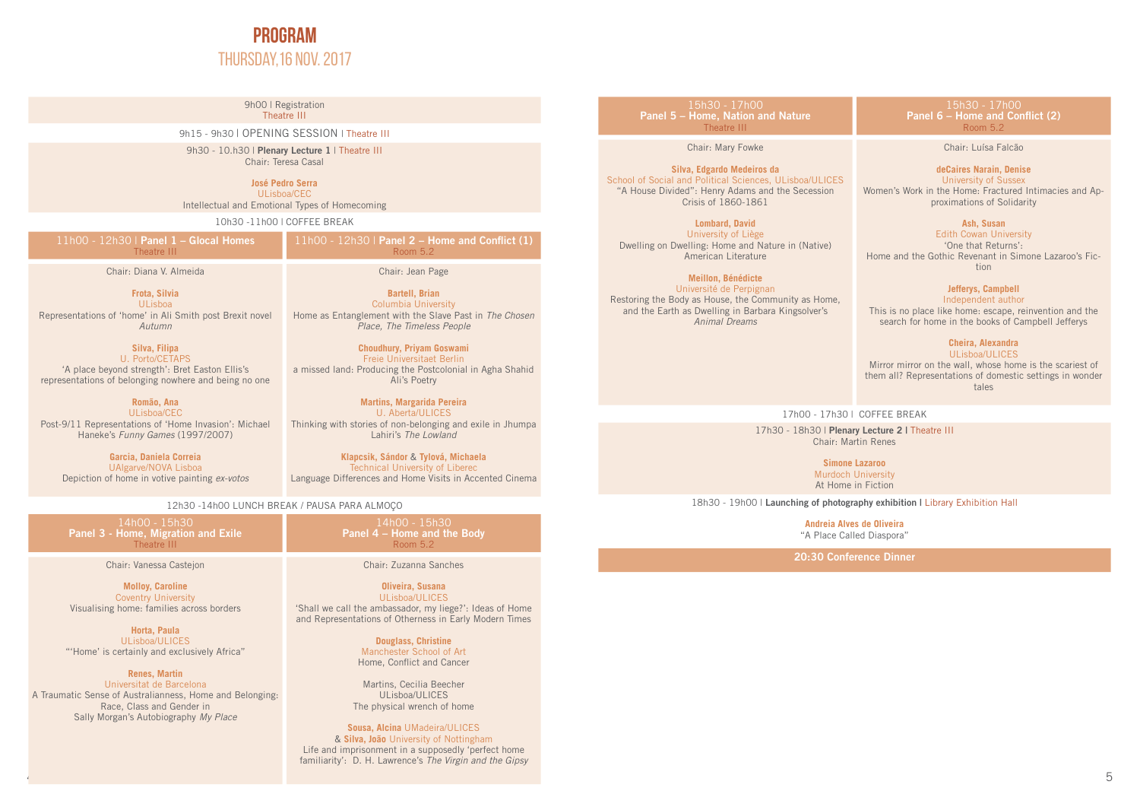

9h00 | Registration Theatre III

9h15 - 9h30 | OPENING SESSION | Theatre III

9h30 - 10.h30 | **Plenary Lecture 1** | Theatre III Chair: Teresa Casal

> **José Pedro Serra** ULisboa/CEC

Intellectual and Emotional Types of Homecoming

10h30 -11h00 | COFFEE BREAK

| $11h00 - 12h30$   Panel 1 – Glocal Homes<br>Theatre III | $^{\prime}$ 11h00 - 12h30   Panel 2 – Home and Conflict (1)<br>Room 5.2 |
|---------------------------------------------------------|-------------------------------------------------------------------------|
|                                                         |                                                                         |
| Chair: Diana V. Almeida                                 | Chair: Jean Page                                                        |

**Frota, Silvia** ULisboa Representations of 'home' in Ali Smith post Brexit novel *Autumn*

**Silva, Filipa** U. Porto/CETAPS 'A place beyond strength': Bret Easton Ellis's representations of belonging nowhere and being no one

**Romão, Ana** ULisboa/CEC Post-9/11 Representations of 'Home Invasion': Michael Haneke's *Funny Games* (1997/2007)

**Garcia, Daniela Correia** UAlgarve/NOVA Lisboa Depiction of home in votive painting *ex-votos*  Chair: Jean Page

**Bartell, Brian**  Columbia University Home as Entanglement with the Slave Past in *The Chosen Place, The Timeless People*

**Choudhury, Priyam Goswami** Freie Universitaet Berlin a missed land: Producing the Postcolonial in Agha Shahid Ali's Poetry

**Martins, Margarida Pereira** U. Aberta/ULICES Thinking with stories of non-belonging and exile in Jhumpa Lahiri's *The Lowland*

**Klapcsik, Sándor** & **Tylová, Michaela** Technical University of Liberec Language Differences and Home Visits in Accented Cinema

12h30 -14h00 LUNCH BREAK / PAUSA PARA ALMOÇO

**Panel 3 - Home, Migration and Exile** Theatre III

Chair: Vanessa Castejon

**Molloy, Caroline** Coventry University Visualising home: families across borders

**Horta, Paula** ULisboa/ULICES "'Home' is certainly and exclusively Africa"

> **Renes, Martin** Universitat de Barcelona

A Traumatic Sense of Australianness, Home and Belonging: Race, Class and Gender in Sally Morgan's Autobiography *My Place*

**Panel 4 – Home and the Body** Room 5.2

Chair: Zuzanna Sanches

**Oliveira, Susana** ULisboa/ULICES 'Shall we call the ambassador, my liege?': Ideas of Home and Representations of Otherness in Early Modern Times

> **Douglass, Christine** Manchester School of Art Home, Conflict and Cancer

Martins, Cecilia Beecher ULisboa/ULICES The physical wrench of home

**Sousa, Alcina** UMadeira/ULICES & **Silva, João** University of Nottingham Life and imprisonment in a supposedly 'perfect home familiarity': D. H. Lawrence's *The Virgin and the Gipsy*

#### 15h30 - 17h00 **Panel 5 – Home, Nation and Nature** Theatre III

Chair: Mary Fowke

### **Silva, Edgardo Medeiros da**

School of Social and Political Sciences, ULisboa/ULICES "A House Divided": Henry Adams and the Secession Crisis of 1860-1861

**Lombard, David** University of Liège Dwelling on Dwelling: Home and Nature in (Native) American Literature

**Meillon, Bénédicte**

# Université de Perpignan

Restoring the Body as House, the Community as Home, and the Earth as Dwelling in Barbara Kingsolver's *Animal Dreams*

15h30 - 17h00 **Panel 6 – Home and Conflict (2)** Room 5.2

Chair: Luísa Falcão

**deCaires Narain, Denise**  University of Sussex Women's Work in the Home: Fractured Intimacies and Approximations of Solidarity

**Ash, Susan**

Edith Cowan University 'One that Returns': Home and the Gothic Revenant in Simone Lazaroo's Fiction

# **Jefferys, Campbell**

Independent author This is no place like home: escape, reinvention and the search for home in the books of Campbell Jefferys

> **Cheira, Alexandra** ULisboa/ULICES

Mirror mirror on the wall, whose home is the scariest of them all? Representations of domestic settings in wonder tales

17h00 - 17h30 | COFFEE BREAK

17h30 - 18h30 | **Plenary Lecture 2 |** Theatre III Chair: Martin Renes

> **Simone Lazaroo** Murdoch University At Home in Fiction

18h30 - 19h00 | **Launching of photography exhibition |** Library Exhibition Hall

**Andreia Alves de Oliveira** "A Place Called Diaspora"

**20:30 Conference Dinner**